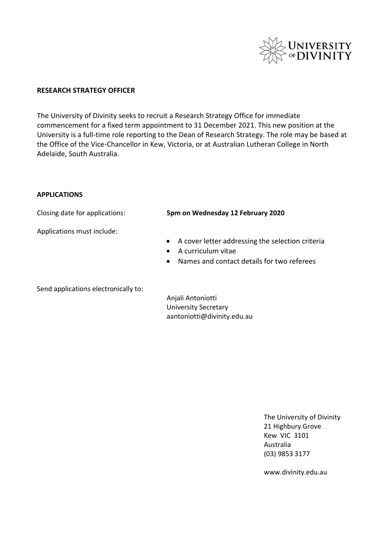

### **RESEARCH STRATEGY OFFICER**

The University of Divinity seeks to recruit a Research Strategy Office for immediate commencement for a fixed term appointment to 31 December 2021. This new position at the University is a full-time role reporting to the Dean of Research Strategy. The role may be based at the Office of the Vice-Chancellor in Kew, Victoria, or at Australian Lutheran College in North Adelaide, South Australia.

#### **APPLICATIONS**

Applications must include:

### Closing date for applications: **5pm on Wednesday 12 February 2020**

- A cover letter addressing the selection criteria
- A curriculum vitae
- Names and contact details for two referees

Send applications electronically to:

Anjali Antoniotti University Secretary aantoniotti@divinity.edu.au

> The University of Divinity 21 Highbury Grove Kew VIC 3101 Australia (03) 9853 3177

www.divinity.edu.au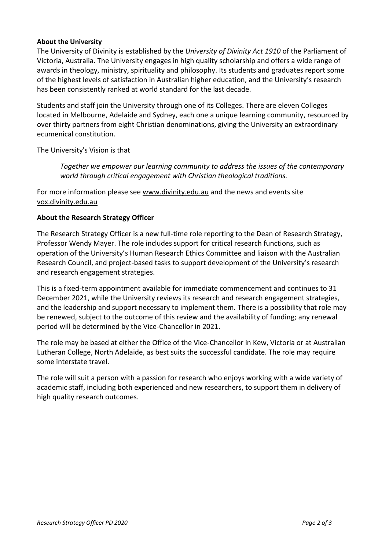# **About the University**

The University of Divinity is established by the *University of Divinity Act 1910* of the Parliament of Victoria, Australia. The University engages in high quality scholarship and offers a wide range of awards in theology, ministry, spirituality and philosophy. Its students and graduates report some of the highest levels of satisfaction in Australian higher education, and the University's research has been consistently ranked at world standard for the last decade.

Students and staff join the University through one of its Colleges. There are eleven Colleges located in Melbourne, Adelaide and Sydney, each one a unique learning community, resourced by over thirty partners from eight Christian denominations, giving the University an extraordinary ecumenical constitution.

The University's Vision is that

*Together we empower our learning community to address the issues of the contemporary world through critical engagement with Christian theological traditions.* 

For more information please see www.divinity.edu.au and the news and events site vox.divinity.edu.au

### **About the Research Strategy Officer**

The Research Strategy Officer is a new full-time role reporting to the Dean of Research Strategy, Professor Wendy Mayer. The role includes support for critical research functions, such as operation of the University's Human Research Ethics Committee and liaison with the Australian Research Council, and project-based tasks to support development of the University's research and research engagement strategies.

This is a fixed-term appointment available for immediate commencement and continues to 31 December 2021, while the University reviews its research and research engagement strategies, and the leadership and support necessary to implement them. There is a possibility that role may be renewed, subject to the outcome of this review and the availability of funding; any renewal period will be determined by the Vice-Chancellor in 2021.

The role may be based at either the Office of the Vice-Chancellor in Kew, Victoria or at Australian Lutheran College, North Adelaide, as best suits the successful candidate. The role may require some interstate travel.

The role will suit a person with a passion for research who enjoys working with a wide variety of academic staff, including both experienced and new researchers, to support them in delivery of high quality research outcomes.